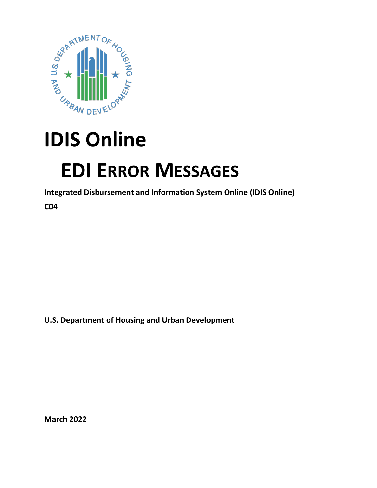

## **IDIS Online**

## **EDI ERROR MESSAGES**

**Integrated Disbursement and Information System Online (IDIS Online)**

**C04** 

**U.S. Department of Housing and Urban Development**

**March 2022**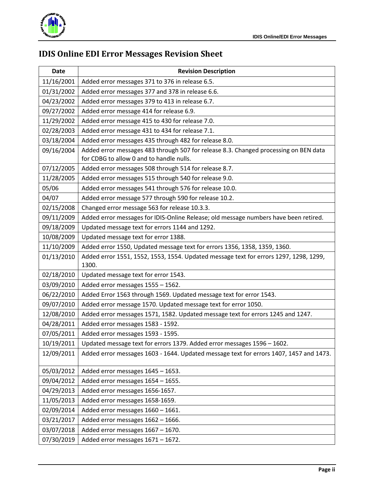

## **IDIS Online EDI Error Messages Revision Sheet**

| <b>Date</b> | <b>Revision Description</b>                                                                                                      |
|-------------|----------------------------------------------------------------------------------------------------------------------------------|
| 11/16/2001  | Added error messages 371 to 376 in release 6.5.                                                                                  |
| 01/31/2002  | Added error messages 377 and 378 in release 6.6.                                                                                 |
| 04/23/2002  | Added error messages 379 to 413 in release 6.7.                                                                                  |
| 09/27/2002  | Added error message 414 for release 6.9.                                                                                         |
| 11/29/2002  | Added error message 415 to 430 for release 7.0.                                                                                  |
| 02/28/2003  | Added error message 431 to 434 for release 7.1.                                                                                  |
| 03/18/2004  | Added error messages 435 through 482 for release 8.0.                                                                            |
| 09/16/2004  | Added error messages 483 through 507 for release 8.3. Changed processing on BEN data<br>for CDBG to allow 0 and to handle nulls. |
| 07/12/2005  | Added error messages 508 through 514 for release 8.7.                                                                            |
| 11/28/2005  | Added error messages 515 through 540 for release 9.0.                                                                            |
| 05/06       | Added error messages 541 through 576 for release 10.0.                                                                           |
| 04/07       | Added error message 577 through 590 for release 10.2.                                                                            |
| 02/15/2008  | Changed error message 563 for release 10.3.3.                                                                                    |
| 09/11/2009  | Added error messages for IDIS-Online Release; old message numbers have been retired.                                             |
| 09/18/2009  | Updated message text for errors 1144 and 1292.                                                                                   |
| 10/08/2009  | Updated message text for error 1388.                                                                                             |
| 11/10/2009  | Added error 1550, Updated message text for errors 1356, 1358, 1359, 1360.                                                        |
| 01/13/2010  | Added error 1551, 1552, 1553, 1554. Updated message text for errors 1297, 1298, 1299,<br>1300.                                   |
| 02/18/2010  | Updated message text for error 1543.                                                                                             |
| 03/09/2010  | Added error messages 1555 - 1562.                                                                                                |
| 06/22/2010  | Added Error 1563 through 1569. Updated message text for error 1543.                                                              |
| 09/07/2010  | Added error message 1570. Updated message text for error 1050.                                                                   |
| 12/08/2010  | Added error messages 1571, 1582. Updated message text for errors 1245 and 1247.                                                  |
| 04/28/2011  | Added error messages 1583 - 1592.                                                                                                |
| 07/05/2011  | Added error messages 1593 - 1595.                                                                                                |
| 10/19/2011  | Updated message text for errors 1379. Added error messages 1596 - 1602.                                                          |
| 12/09/2011  | Added error messages 1603 - 1644. Updated message text for errors 1407, 1457 and 1473.                                           |
| 05/03/2012  | Added error messages 1645 - 1653.                                                                                                |
| 09/04/2012  | Added error messages 1654 - 1655.                                                                                                |
| 04/29/2013  | Added error messages 1656-1657.                                                                                                  |
| 11/05/2013  | Added error messages 1658-1659.                                                                                                  |
| 02/09/2014  | Added error messages 1660 - 1661.                                                                                                |
| 03/21/2017  | Added error messages 1662 - 1666.                                                                                                |
| 03/07/2018  | Added error messages 1667 - 1670.                                                                                                |
| 07/30/2019  | Added error messages 1671 - 1672.                                                                                                |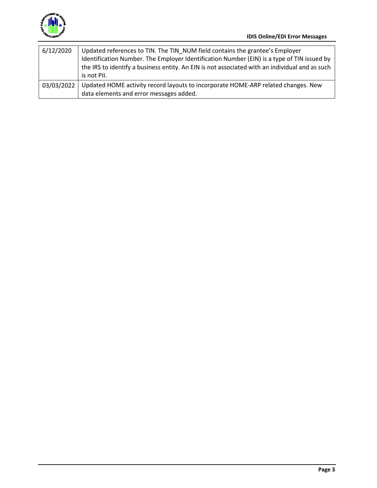

| 6/12/2020    | Updated references to TIN. The TIN NUM field contains the grantee's Employer<br>Identification Number. The Employer Identification Number (EIN) is a type of TIN issued by<br>the IRS to identify a business entity. An EIN is not associated with an individual and as such<br>is not PII. |
|--------------|---------------------------------------------------------------------------------------------------------------------------------------------------------------------------------------------------------------------------------------------------------------------------------------------|
| 03/03/2022 1 | Updated HOME activity record layouts to incorporate HOME-ARP related changes. New<br>data elements and error messages added.                                                                                                                                                                |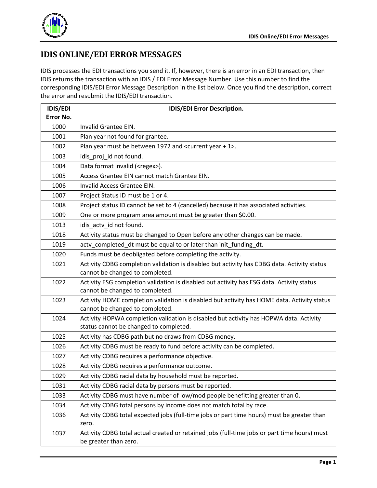

## **IDIS ONLINE/EDI ERROR MESSAGES**

IDIS processes the EDI transactions you send it. If, however, there is an error in an EDI transaction, then IDIS returns the transaction with an IDIS / EDI Error Message Number. Use this number to find the corresponding IDIS/EDI Error Message Description in the list below. Once you find the description, correct the error and resubmit the IDIS/EDI transaction.

| <b>IDIS/EDI</b> | IDIS/EDI Error Description.                                                                                                      |
|-----------------|----------------------------------------------------------------------------------------------------------------------------------|
| Error No.       |                                                                                                                                  |
| 1000            | Invalid Grantee EIN.                                                                                                             |
| 1001            | Plan year not found for grantee.                                                                                                 |
| 1002            | Plan year must be between 1972 and <current +="" 1="" year="">.</current>                                                        |
| 1003            | idis_proj_id not found.                                                                                                          |
| 1004            | Data format invalid ( <regex>).</regex>                                                                                          |
| 1005            | Access Grantee EIN cannot match Grantee EIN.                                                                                     |
| 1006            | Invalid Access Grantee EIN.                                                                                                      |
| 1007            | Project Status ID must be 1 or 4.                                                                                                |
| 1008            | Project status ID cannot be set to 4 (cancelled) because it has associated activities.                                           |
| 1009            | One or more program area amount must be greater than \$0.00.                                                                     |
| 1013            | idis_actv_id not found.                                                                                                          |
| 1018            | Activity status must be changed to Open before any other changes can be made.                                                    |
| 1019            | actv_completed_dt must be equal to or later than init_funding_dt.                                                                |
| 1020            | Funds must be deobligated before completing the activity.                                                                        |
| 1021            | Activity CDBG completion validation is disabled but activity has CDBG data. Activity status<br>cannot be changed to completed.   |
| 1022            | Activity ESG completion validation is disabled but activity has ESG data. Activity status<br>cannot be changed to completed.     |
| 1023            | Activity HOME completion validation is disabled but activity has HOME data. Activity status<br>cannot be changed to completed.   |
| 1024            | Activity HOPWA completion validation is disabled but activity has HOPWA data. Activity<br>status cannot be changed to completed. |
| 1025            | Activity has CDBG path but no draws from CDBG money.                                                                             |
| 1026            | Activity CDBG must be ready to fund before activity can be completed.                                                            |
| 1027            | Activity CDBG requires a performance objective.                                                                                  |
| 1028            | Activity CDBG requires a performance outcome.                                                                                    |
| 1029            | Activity CDBG racial data by household must be reported.                                                                         |
| 1031            | Activity CDBG racial data by persons must be reported.                                                                           |
| 1033            | Activity CDBG must have number of low/mod people benefitting greater than 0.                                                     |
| 1034            | Activity CDBG total persons by income does not match total by race.                                                              |
| 1036            | Activity CDBG total expected jobs (full-time jobs or part time hours) must be greater than                                       |
|                 | zero.                                                                                                                            |
| 1037            | Activity CDBG total actual created or retained jobs (full-time jobs or part time hours) must<br>be greater than zero.            |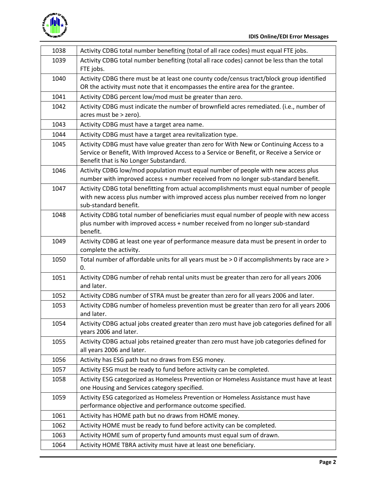

| 1038 | Activity CDBG total number benefiting (total of all race codes) must equal FTE jobs.                                                                                                                                          |
|------|-------------------------------------------------------------------------------------------------------------------------------------------------------------------------------------------------------------------------------|
| 1039 | Activity CDBG total number benefiting (total all race codes) cannot be less than the total<br>FTE jobs.                                                                                                                       |
| 1040 | Activity CDBG there must be at least one county code/census tract/block group identified<br>OR the activity must note that it encompasses the entire area for the grantee.                                                    |
| 1041 | Activity CDBG percent low/mod must be greater than zero.                                                                                                                                                                      |
| 1042 | Activity CDBG must indicate the number of brownfield acres remediated. (i.e., number of<br>acres must be > zero).                                                                                                             |
| 1043 | Activity CDBG must have a target area name.                                                                                                                                                                                   |
| 1044 | Activity CDBG must have a target area revitalization type.                                                                                                                                                                    |
| 1045 | Activity CDBG must have value greater than zero for With New or Continuing Access to a<br>Service or Benefit, With Improved Access to a Service or Benefit, or Receive a Service or<br>Benefit that is No Longer Substandard. |
| 1046 | Activity CDBG low/mod population must equal number of people with new access plus<br>number with improved access + number received from no longer sub-standard benefit.                                                       |
| 1047 | Activity CDBG total benefitting from actual accomplishments must equal number of people<br>with new access plus number with improved access plus number received from no longer<br>sub-standard benefit.                      |
| 1048 | Activity CDBG total number of beneficiaries must equal number of people with new access<br>plus number with improved access + number received from no longer sub-standard<br>benefit.                                         |
| 1049 | Activity CDBG at least one year of performance measure data must be present in order to<br>complete the activity.                                                                                                             |
| 1050 | Total number of affordable units for all years must be > 0 if accomplishments by race are ><br>0.                                                                                                                             |
| 1051 | Activity CDBG number of rehab rental units must be greater than zero for all years 2006<br>and later.                                                                                                                         |
| 1052 | Activity CDBG number of STRA must be greater than zero for all years 2006 and later.                                                                                                                                          |
| 1053 | Activity CDBG number of homeless prevention must be greater than zero for all years 2006<br>and later.                                                                                                                        |
| 1054 | Activity CDBG actual jobs created greater than zero must have job categories defined for all<br>years 2006 and later.                                                                                                         |
| 1055 | Activity CDBG actual jobs retained greater than zero must have job categories defined for<br>all years 2006 and later.                                                                                                        |
| 1056 | Activity has ESG path but no draws from ESG money.                                                                                                                                                                            |
| 1057 | Activity ESG must be ready to fund before activity can be completed.                                                                                                                                                          |
| 1058 | Activity ESG categorized as Homeless Prevention or Homeless Assistance must have at least<br>one Housing and Services category specified.                                                                                     |
| 1059 | Activity ESG categorized as Homeless Prevention or Homeless Assistance must have<br>performance objective and performance outcome specified.                                                                                  |
| 1061 | Activity has HOME path but no draws from HOME money.                                                                                                                                                                          |
| 1062 | Activity HOME must be ready to fund before activity can be completed.                                                                                                                                                         |
| 1063 | Activity HOME sum of property fund amounts must equal sum of drawn.                                                                                                                                                           |
| 1064 | Activity HOME TBRA activity must have at least one beneficiary.                                                                                                                                                               |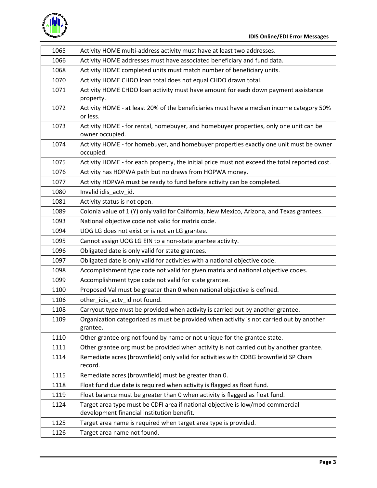

| 1065 | Activity HOME multi-address activity must have at least two addresses.                                                           |
|------|----------------------------------------------------------------------------------------------------------------------------------|
| 1066 | Activity HOME addresses must have associated beneficiary and fund data.                                                          |
| 1068 | Activity HOME completed units must match number of beneficiary units.                                                            |
| 1070 | Activity HOME CHDO loan total does not equal CHDO drawn total.                                                                   |
| 1071 | Activity HOME CHDO loan activity must have amount for each down payment assistance                                               |
|      | property.                                                                                                                        |
| 1072 | Activity HOME - at least 20% of the beneficiaries must have a median income category 50%                                         |
|      | or less.                                                                                                                         |
| 1073 | Activity HOME - for rental, homebuyer, and homebuyer properties, only one unit can be                                            |
|      | owner occupied.                                                                                                                  |
| 1074 | Activity HOME - for homebuyer, and homebuyer properties exactly one unit must be owner                                           |
| 1075 | occupied.                                                                                                                        |
| 1076 | Activity HOME - for each property, the initial price must not exceed the total reported cost.                                    |
|      | Activity has HOPWA path but no draws from HOPWA money.<br>Activity HOPWA must be ready to fund before activity can be completed. |
| 1077 |                                                                                                                                  |
| 1080 | Invalid idis_actv_id.                                                                                                            |
| 1081 | Activity status is not open.                                                                                                     |
| 1089 | Colonia value of 1 (Y) only valid for California, New Mexico, Arizona, and Texas grantees.                                       |
| 1093 | National objective code not valid for matrix code.                                                                               |
| 1094 | UOG LG does not exist or is not an LG grantee.                                                                                   |
| 1095 | Cannot assign UOG LG EIN to a non-state grantee activity.                                                                        |
| 1096 | Obligated date is only valid for state grantees.                                                                                 |
| 1097 | Obligated date is only valid for activities with a national objective code.                                                      |
| 1098 | Accomplishment type code not valid for given matrix and national objective codes.                                                |
| 1099 | Accomplishment type code not valid for state grantee.                                                                            |
| 1100 | Proposed Val must be greater than 0 when national objective is defined.                                                          |
| 1106 | other_idis_actv_id not found.                                                                                                    |
| 1108 | Carryout type must be provided when activity is carried out by another grantee.                                                  |
| 1109 | Organization categorized as must be provided when activity is not carried out by another                                         |
|      | grantee.                                                                                                                         |
| 1110 | Other grantee org not found by name or not unique for the grantee state.                                                         |
| 1111 | Other grantee org must be provided when activity is not carried out by another grantee.                                          |
| 1114 | Remediate acres (brownfield) only valid for activities with CDBG brownfield SP Chars<br>record.                                  |
| 1115 | Remediate acres (brownfield) must be greater than 0.                                                                             |
| 1118 | Float fund due date is required when activity is flagged as float fund.                                                          |
| 1119 | Float balance must be greater than 0 when activity is flagged as float fund.                                                     |
| 1124 | Target area type must be CDFI area if national objective is low/mod commercial                                                   |
|      | development financial institution benefit.                                                                                       |
| 1125 | Target area name is required when target area type is provided.                                                                  |
| 1126 | Target area name not found.                                                                                                      |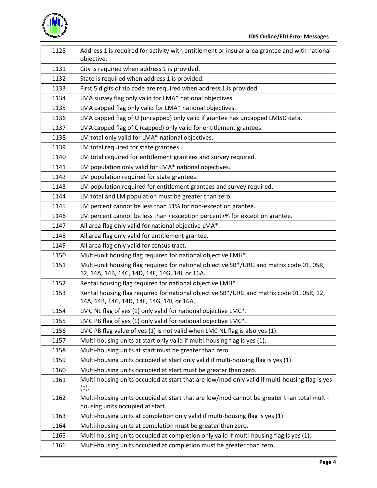

| 1128 | Address 1 is required for activity with entitlement or insular area grantee and with national<br>objective.                                |
|------|--------------------------------------------------------------------------------------------------------------------------------------------|
| 1131 | City is required when address 1 is provided.                                                                                               |
| 1132 | State is required when address 1 is provided.                                                                                              |
| 1133 | First 5 digits of zip code are required when address 1 is provided.                                                                        |
| 1134 | LMA survey flag only valid for LMA* national objectives.                                                                                   |
| 1135 | LMA capped flag only valid for LMA* national objectives.                                                                                   |
| 1136 | LMA capped flag of U (uncapped) only valid if grantee has uncapped LMISD data.                                                             |
| 1137 | LMA capped flag of C (capped) only valid for entitlement grantees.                                                                         |
| 1138 | LM total only valid for LMA* national objectives.                                                                                          |
| 1139 | LM total required for state grantees.                                                                                                      |
| 1140 | LM total required for entitlement grantees and survey required.                                                                            |
| 1141 | LM population only valid for LMA* national objectives.                                                                                     |
| 1142 | LM population required for state grantees.                                                                                                 |
| 1143 | LM population required for entitlement grantees and survey required.                                                                       |
| 1144 | LM total and LM population must be greater than zero.                                                                                      |
| 1145 | LM percent cannot be less than 51% for non-exception grantee.                                                                              |
| 1146 | LM percent cannot be less than <exception percent="">% for exception grantee.</exception>                                                  |
| 1147 | All area flag only valid for national objective LMA*.                                                                                      |
| 1148 | All area flag only valid for entitlement grantee.                                                                                          |
| 1149 | All area flag only valid for census tract.                                                                                                 |
| 1150 | Multi-unit housing flag required for national objective LMH*.                                                                              |
| 1151 | Multi-unit housing flag required for national objective SB*/URG and matrix code 01, 05R,<br>12, 14A, 14B, 14C, 14D, 14F, 14G, 14I, or 16A. |
| 1152 | Rental housing flag required for national objective LMH*.                                                                                  |
| 1153 | Rental housing flag required for national objective SB*/URG and matrix code 01, 05R, 12,<br>14A, 14B, 14C, 14D, 14F, 14G, 14I, or 16A.     |
| 1154 | LMC NL flag of yes (1) only valid for national objective LMC*.                                                                             |
| 1155 | LMC PB flag of yes (1) only valid for national objective LMC*.                                                                             |
| 1156 | LMC PB flag value of yes (1) is not valid when LMC NL flag is also yes (1).                                                                |
| 1157 | Multi-housing units at start only valid if multi-housing flag is yes (1).                                                                  |
| 1158 | Multi-housing units at start must be greater than zero.                                                                                    |
| 1159 | Multi-housing units occupied at start only valid if multi-housing flag is yes (1).                                                         |
| 1160 | Multi-housing units occupied at start must be greater than zero.                                                                           |
| 1161 | Multi-housing units occupied at start that are low/mod only valid if multi-housing flag is yes                                             |
|      | (1).                                                                                                                                       |
| 1162 | Multi-housing units occupied at start that are low/mod cannot be greater than total multi-                                                 |
|      | housing units occupied at start.                                                                                                           |
| 1163 | Multi-housing units at completion only valid if multi-housing flag is yes (1).                                                             |
| 1164 | Multi-housing units at completion must be greater than zero.                                                                               |
| 1165 | Multi-housing units occupied at completion only valid if multi-housing flag is yes (1).                                                    |
| 1166 | Multi-housing units occupied at completion must be greater than zero.                                                                      |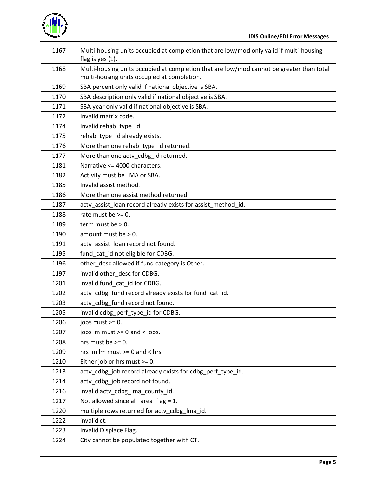

| 1167 | Multi-housing units occupied at completion that are low/mod only valid if multi-housing<br>flag is yes (1).                             |
|------|-----------------------------------------------------------------------------------------------------------------------------------------|
| 1168 | Multi-housing units occupied at completion that are low/mod cannot be greater than total<br>multi-housing units occupied at completion. |
| 1169 | SBA percent only valid if national objective is SBA.                                                                                    |
| 1170 | SBA description only valid if national objective is SBA.                                                                                |
| 1171 | SBA year only valid if national objective is SBA.                                                                                       |
| 1172 | Invalid matrix code.                                                                                                                    |
| 1174 | Invalid rehab_type_id.                                                                                                                  |
| 1175 | rehab_type_id already exists.                                                                                                           |
| 1176 | More than one rehab_type_id returned.                                                                                                   |
| 1177 | More than one actv_cdbg_id returned.                                                                                                    |
| 1181 | Narrative <= 4000 characters.                                                                                                           |
| 1182 | Activity must be LMA or SBA.                                                                                                            |
| 1185 | Invalid assist method.                                                                                                                  |
| 1186 | More than one assist method returned.                                                                                                   |
| 1187 | actv_assist_loan record already exists for assist_method_id.                                                                            |
| 1188 | rate must be $>= 0$ .                                                                                                                   |
| 1189 | term must be $> 0$ .                                                                                                                    |
| 1190 | amount must be $> 0$ .                                                                                                                  |
| 1191 | actv_assist_loan record not found.                                                                                                      |
| 1195 | fund_cat_id not eligible for CDBG.                                                                                                      |
| 1196 | other_desc allowed if fund category is Other.                                                                                           |
| 1197 | invalid other_desc for CDBG.                                                                                                            |
| 1201 | invalid fund_cat_id for CDBG.                                                                                                           |
| 1202 | actv_cdbg_fund record already exists for fund_cat_id.                                                                                   |
| 1203 | actv cdbg fund record not found.                                                                                                        |
| 1205 | invalid cdbg_perf_type_id for CDBG.                                                                                                     |
| 1206 | jobs must $>= 0$ .                                                                                                                      |
| 1207 | jobs $Im must >= 0$ and $lt$ jobs.                                                                                                      |
| 1208 | hrs must be $>= 0$ .                                                                                                                    |
| 1209 | hrs $Im Im must >= 0$ and < hrs.                                                                                                        |
| 1210 | Either job or hrs must >= 0.                                                                                                            |
| 1213 | actv cdbg job record already exists for cdbg perf type id.                                                                              |
| 1214 | actv_cdbg_job record not found.                                                                                                         |
| 1216 | invalid actv_cdbg_lma_county_id.                                                                                                        |
| 1217 | Not allowed since all_area_flag = 1.                                                                                                    |
| 1220 | multiple rows returned for actv_cdbg_lma_id.                                                                                            |
| 1222 | invalid ct.                                                                                                                             |
| 1223 | Invalid Displace Flag.                                                                                                                  |
| 1224 | City cannot be populated together with CT.                                                                                              |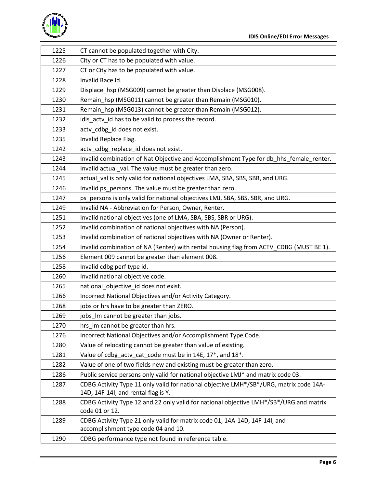

| 1225 | CT cannot be populated together with City.                                                                                    |
|------|-------------------------------------------------------------------------------------------------------------------------------|
| 1226 | City or CT has to be populated with value.                                                                                    |
| 1227 | CT or City has to be populated with value.                                                                                    |
| 1228 | Invalid Race Id.                                                                                                              |
| 1229 | Displace_hsp (MSG009) cannot be greater than Displace (MSG008).                                                               |
| 1230 | Remain_hsp (MSG011) cannot be greater than Remain (MSG010).                                                                   |
| 1231 | Remain hsp (MSG013) cannot be greater than Remain (MSG012).                                                                   |
| 1232 | idis_actv_id has to be valid to process the record.                                                                           |
| 1233 | actv_cdbg_id does not exist.                                                                                                  |
| 1235 | Invalid Replace Flag.                                                                                                         |
| 1242 | actv_cdbg_replace_id does not exist.                                                                                          |
| 1243 | Invalid combination of Nat Objective and Accomplishment Type for db_hhs_female_renter.                                        |
| 1244 | Invalid actual_val. The value must be greater than zero.                                                                      |
| 1245 | actual_val is only valid for national objectives LMA, SBA, SBS, SBR, and URG.                                                 |
| 1246 | Invalid ps persons. The value must be greater than zero.                                                                      |
| 1247 | ps_persons is only valid for national objectives LMJ, SBA, SBS, SBR, and URG.                                                 |
| 1249 | Invalid NA - Abbreviation for Person, Owner, Renter.                                                                          |
| 1251 | Invalid national objectives (one of LMA, SBA, SBS, SBR or URG).                                                               |
| 1252 | Invalid combination of national objectives with NA (Person).                                                                  |
| 1253 | Invalid combination of national objectives with NA (Owner or Renter).                                                         |
| 1254 | Invalid combination of NA (Renter) with rental housing flag from ACTV_CDBG (MUST BE 1).                                       |
| 1256 | Element 009 cannot be greater than element 008.                                                                               |
| 1258 | Invalid cdbg perf type id.                                                                                                    |
| 1260 | Invalid national objective code.                                                                                              |
| 1265 | national_objective_id does not exist.                                                                                         |
| 1266 | Incorrect National Objectives and/or Activity Category.                                                                       |
| 1268 | jobs or hrs have to be greater than ZERO.                                                                                     |
| 1269 | jobs_lm cannot be greater than jobs.                                                                                          |
| 1270 | hrs Im cannot be greater than hrs.                                                                                            |
| 1276 | Incorrect National Objectives and/or Accomplishment Type Code.                                                                |
| 1280 | Value of relocating cannot be greater than value of existing.                                                                 |
| 1281 | Value of cdbg_actv_cat_code must be in 14E, 17*, and 18*.                                                                     |
| 1282 | Value of one of two fields new and existing must be greater than zero.                                                        |
| 1286 | Public service persons only valid for national objective LMJ* and matrix code 03.                                             |
| 1287 | CDBG Activity Type 11 only valid for national objective LMH*/SB*/URG, matrix code 14A-<br>14D, 14F-14I, and rental flag is Y. |
| 1288 | CDBG Activity Type 12 and 22 only valid for national objective LMH*/SB*/URG and matrix<br>code 01 or 12.                      |
| 1289 | CDBG Activity Type 21 only valid for matrix code 01, 14A-14D, 14F-14I, and<br>accomplishment type code 04 and 10.             |
| 1290 | CDBG performance type not found in reference table.                                                                           |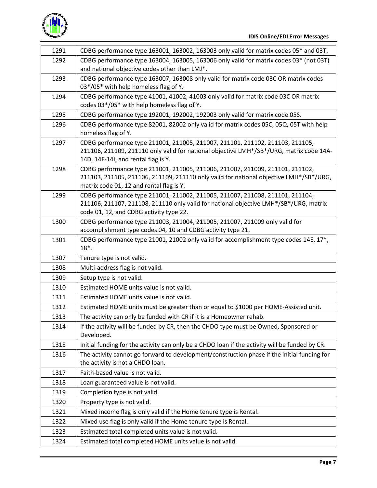

| 1291 | CDBG performance type 163001, 163002, 163003 only valid for matrix codes 05* and 03T.                                                                                                                               |
|------|---------------------------------------------------------------------------------------------------------------------------------------------------------------------------------------------------------------------|
| 1292 | CDBG performance type 163004, 163005, 163006 only valid for matrix codes 03* (not 03T)                                                                                                                              |
|      | and national objective codes other than LMJ*.                                                                                                                                                                       |
| 1293 | CDBG performance type 163007, 163008 only valid for matrix code 03C OR matrix codes                                                                                                                                 |
|      | 03*/05* with help homeless flag of Y.                                                                                                                                                                               |
| 1294 | CDBG performance type 41001, 41002, 41003 only valid for matrix code 03C OR matrix<br>codes 03*/05* with help homeless flag of Y.                                                                                   |
| 1295 | CDBG performance type 192001, 192002, 192003 only valid for matrix code 05S.                                                                                                                                        |
| 1296 | CDBG performance type 82001, 82002 only valid for matrix codes 05C, 05Q, 05T with help<br>homeless flag of Y.                                                                                                       |
| 1297 | CDBG performance type 211001, 211005, 211007, 211101, 211102, 211103, 211105,<br>211106, 211109, 211110 only valid for national objective LMH*/SB*/URG, matrix code 14A-<br>14D, 14F-14I, and rental flag is Y.     |
| 1298 | CDBG performance type 211001, 211005, 211006, 211007, 211009, 211101, 211102,<br>211103, 211105, 211106, 211109, 211110 only valid for national objective LMH*/SB*/URG,<br>matrix code 01, 12 and rental flag is Y. |
| 1299 | CDBG performance type 211001, 211002, 211005, 211007, 211008, 211101, 211104,<br>211106, 211107, 211108, 211110 only valid for national objective LMH*/SB*/URG, matrix<br>code 01, 12, and CDBG activity type 22.   |
| 1300 | CDBG performance type 211003, 211004, 211005, 211007, 211009 only valid for<br>accomplishment type codes 04, 10 and CDBG activity type 21.                                                                          |
| 1301 | CDBG performance type 21001, 21002 only valid for accomplishment type codes 14E, 17*,<br>18*.                                                                                                                       |
| 1307 | Tenure type is not valid.                                                                                                                                                                                           |
| 1308 | Multi-address flag is not valid.                                                                                                                                                                                    |
| 1309 | Setup type is not valid.                                                                                                                                                                                            |
| 1310 | Estimated HOME units value is not valid.                                                                                                                                                                            |
| 1311 | Estimated HOME units value is not valid.                                                                                                                                                                            |
| 1312 | Estimated HOME units must be greater than or equal to \$1000 per HOME-Assisted unit.                                                                                                                                |
| 1313 | The activity can only be funded with CR if it is a Homeowner rehab.                                                                                                                                                 |
| 1314 | If the activity will be funded by CR, then the CHDO type must be Owned, Sponsored or<br>Developed.                                                                                                                  |
| 1315 | Initial funding for the activity can only be a CHDO loan if the activity will be funded by CR.                                                                                                                      |
| 1316 | The activity cannot go forward to development/construction phase if the initial funding for<br>the activity is not a CHDO loan.                                                                                     |
| 1317 | Faith-based value is not valid.                                                                                                                                                                                     |
| 1318 | Loan guaranteed value is not valid.                                                                                                                                                                                 |
| 1319 | Completion type is not valid.                                                                                                                                                                                       |
| 1320 | Property type is not valid.                                                                                                                                                                                         |
| 1321 | Mixed income flag is only valid if the Home tenure type is Rental.                                                                                                                                                  |
| 1322 | Mixed use flag is only valid if the Home tenure type is Rental.                                                                                                                                                     |
| 1323 | Estimated total completed units value is not valid.                                                                                                                                                                 |
| 1324 | Estimated total completed HOME units value is not valid.                                                                                                                                                            |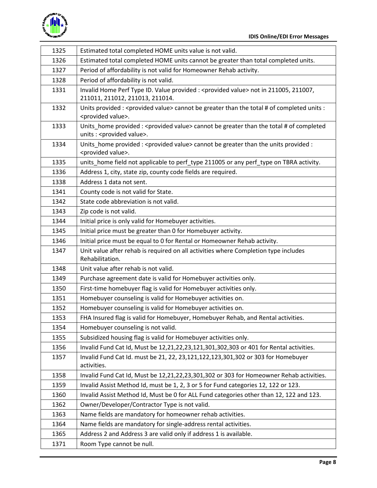

| 1325 | Estimated total completed HOME units value is not valid.                                                                      |
|------|-------------------------------------------------------------------------------------------------------------------------------|
| 1326 | Estimated total completed HOME units cannot be greater than total completed units.                                            |
| 1327 | Period of affordability is not valid for Homeowner Rehab activity.                                                            |
| 1328 | Period of affordability is not valid.                                                                                         |
| 1331 | Invalid Home Perf Type ID. Value provided : < provided value> not in 211005, 211007,<br>211011, 211012, 211013, 211014.       |
| 1332 | Units provided : < provided value> cannot be greater than the total # of completed units :<br><provided value="">.</provided> |
| 1333 | Units home provided : < provided value> cannot be greater than the total # of completed<br>units : < provided value>.         |
| 1334 | Units_home provided : < provided value> cannot be greater than the units provided :<br><provided value="">.</provided>        |
| 1335 | units_home field not applicable to perf_type 211005 or any perf_type on TBRA activity.                                        |
| 1336 | Address 1, city, state zip, county code fields are required.                                                                  |
| 1338 | Address 1 data not sent.                                                                                                      |
| 1341 | County code is not valid for State.                                                                                           |
| 1342 | State code abbreviation is not valid.                                                                                         |
| 1343 | Zip code is not valid.                                                                                                        |
| 1344 | Initial price is only valid for Homebuyer activities.                                                                         |
| 1345 | Initial price must be greater than 0 for Homebuyer activity.                                                                  |
| 1346 | Initial price must be equal to 0 for Rental or Homeowner Rehab activity.                                                      |
| 1347 | Unit value after rehab is required on all activities where Completion type includes<br>Rehabilitation.                        |
| 1348 | Unit value after rehab is not valid.                                                                                          |
| 1349 | Purchase agreement date is valid for Homebuyer activities only.                                                               |
| 1350 | First-time homebuyer flag is valid for Homebuyer activities only.                                                             |
| 1351 | Homebuyer counseling is valid for Homebuyer activities on.                                                                    |
| 1352 | Homebuyer counseling is valid for Homebuyer activities on.                                                                    |
| 1353 | FHA Insured flag is valid for Homebuyer, Homebuyer Rehab, and Rental activities.                                              |
| 1354 | Homebuyer counseling is not valid.                                                                                            |
| 1355 | Subsidized housing flag is valid for Homebuyer activities only.                                                               |
| 1356 | Invalid Fund Cat Id, Must be 12,21,22,23,121,301,302,303 or 401 for Rental activities.                                        |
| 1357 |                                                                                                                               |
|      | Invalid Fund Cat Id. must be 21, 22, 23, 121, 122, 123, 301, 302 or 303 for Homebuyer<br>activities.                          |
| 1358 | Invalid Fund Cat Id, Must be 12,21,22,23,301,302 or 303 for Homeowner Rehab activities.                                       |
| 1359 | Invalid Assist Method Id, must be 1, 2, 3 or 5 for Fund categories 12, 122 or 123.                                            |
| 1360 | Invalid Assist Method Id, Must be 0 for ALL Fund categories other than 12, 122 and 123.                                       |
| 1362 | Owner/Developer/Contractor Type is not valid.                                                                                 |
| 1363 | Name fields are mandatory for homeowner rehab activities.                                                                     |
| 1364 | Name fields are mandatory for single-address rental activities.                                                               |
| 1365 | Address 2 and Address 3 are valid only if address 1 is available.                                                             |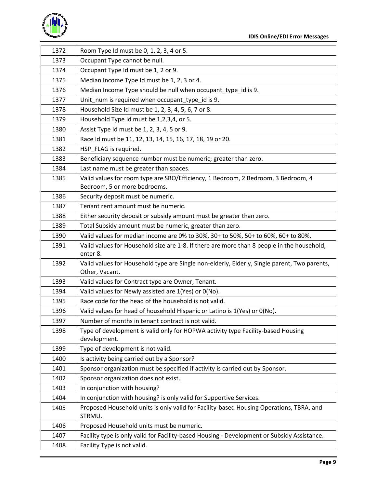

| 1372 | Room Type Id must be 0, 1, 2, 3, 4 or 5.                                                         |
|------|--------------------------------------------------------------------------------------------------|
| 1373 | Occupant Type cannot be null.                                                                    |
| 1374 | Occupant Type Id must be 1, 2 or 9.                                                              |
| 1375 | Median Income Type Id must be 1, 2, 3 or 4.                                                      |
| 1376 | Median Income Type should be null when occupant_type_id is 9.                                    |
| 1377 | Unit_num is required when occupant_type_id is 9.                                                 |
| 1378 | Household Size Id must be 1, 2, 3, 4, 5, 6, 7 or 8.                                              |
| 1379 | Household Type Id must be 1,2,3,4, or 5.                                                         |
| 1380 | Assist Type Id must be 1, 2, 3, 4, 5 or 9.                                                       |
| 1381 | Race Id must be 11, 12, 13, 14, 15, 16, 17, 18, 19 or 20.                                        |
| 1382 | HSP_FLAG is required.                                                                            |
| 1383 | Beneficiary sequence number must be numeric; greater than zero.                                  |
| 1384 | Last name must be greater than spaces.                                                           |
| 1385 | Valid values for room type are SRO/Efficiency, 1 Bedroom, 2 Bedroom, 3 Bedroom, 4                |
|      | Bedroom, 5 or more bedrooms.                                                                     |
| 1386 | Security deposit must be numeric.                                                                |
| 1387 | Tenant rent amount must be numeric.                                                              |
| 1388 | Either security deposit or subsidy amount must be greater than zero.                             |
| 1389 | Total Subsidy amount must be numeric, greater than zero.                                         |
| 1390 | Valid values for median income are 0% to 30%, 30+ to 50%, 50+ to 60%, 60+ to 80%.                |
| 1391 | Valid values for Household size are 1-8. If there are more than 8 people in the household,       |
|      | enter 8.                                                                                         |
| 1392 | Valid values for Household type are Single non-elderly, Elderly, Single parent, Two parents,     |
| 1393 | Other, Vacant.                                                                                   |
|      | Valid values for Contract type are Owner, Tenant.                                                |
| 1394 | Valid values for Newly assisted are 1(Yes) or 0(No).                                             |
| 1395 | Race code for the head of the household is not valid.                                            |
| 1396 | Valid values for head of household Hispanic or Latino is 1(Yes) or 0(No).                        |
| 1397 | Number of months in tenant contract is not valid.                                                |
| 1398 | Type of development is valid only for HOPWA activity type Facility-based Housing<br>development. |
| 1399 | Type of development is not valid.                                                                |
| 1400 | Is activity being carried out by a Sponsor?                                                      |
| 1401 | Sponsor organization must be specified if activity is carried out by Sponsor.                    |
| 1402 | Sponsor organization does not exist.                                                             |
| 1403 | In conjunction with housing?                                                                     |
| 1404 | In conjunction with housing? is only valid for Supportive Services.                              |
| 1405 | Proposed Household units is only valid for Facility-based Housing Operations, TBRA, and          |
|      | STRMU.                                                                                           |
| 1406 | Proposed Household units must be numeric.                                                        |
| 1407 | Facility type is only valid for Facility-based Housing - Development or Subsidy Assistance.      |
| 1408 | Facility Type is not valid.                                                                      |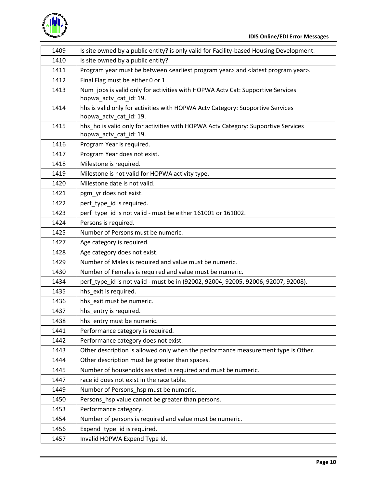

| 1409 | Is site owned by a public entity? is only valid for Facility-based Housing Development.                         |
|------|-----------------------------------------------------------------------------------------------------------------|
| 1410 | Is site owned by a public entity?                                                                               |
| 1411 | Program year must be between <earliest program="" year=""> and <latest program="" year="">.</latest></earliest> |
| 1412 | Final Flag must be either 0 or 1.                                                                               |
| 1413 | Num jobs is valid only for activities with HOPWA Actv Cat: Supportive Services<br>hopwa_actv_cat_id: 19.        |
| 1414 | hhs is valid only for activities with HOPWA Actv Category: Supportive Services                                  |
|      | hopwa_actv_cat_id: 19.<br>hhs_ho is valid only for activities with HOPWA Actv Category: Supportive Services     |
| 1415 | hopwa_actv_cat_id: 19.                                                                                          |
| 1416 | Program Year is required.                                                                                       |
| 1417 | Program Year does not exist.                                                                                    |
| 1418 | Milestone is required.                                                                                          |
| 1419 | Milestone is not valid for HOPWA activity type.                                                                 |
| 1420 | Milestone date is not valid.                                                                                    |
| 1421 | pgm_yr does not exist.                                                                                          |
| 1422 | perf_type_id is required.                                                                                       |
| 1423 | perf_type_id is not valid - must be either 161001 or 161002.                                                    |
| 1424 | Persons is required.                                                                                            |
| 1425 | Number of Persons must be numeric.                                                                              |
| 1427 | Age category is required.                                                                                       |
| 1428 | Age category does not exist.                                                                                    |
| 1429 | Number of Males is required and value must be numeric.                                                          |
| 1430 | Number of Females is required and value must be numeric.                                                        |
| 1434 | perf_type_id is not valid - must be in (92002, 92004, 92005, 92006, 92007, 92008).                              |
| 1435 | hhs_exit is required.                                                                                           |
| 1436 | hhs_exit must be numeric.                                                                                       |
| 1437 | hhs_entry is required.                                                                                          |
| 1438 | hhs_entry must be numeric.                                                                                      |
| 1441 | Performance category is required.                                                                               |
| 1442 | Performance category does not exist.                                                                            |
| 1443 | Other description is allowed only when the performance measurement type is Other.                               |
| 1444 | Other description must be greater than spaces.                                                                  |
| 1445 | Number of households assisted is required and must be numeric.                                                  |
| 1447 | race id does not exist in the race table.                                                                       |
| 1449 | Number of Persons hsp must be numeric.                                                                          |
| 1450 | Persons_hsp value cannot be greater than persons.                                                               |
| 1453 | Performance category.                                                                                           |
| 1454 | Number of persons is required and value must be numeric.                                                        |
| 1456 | Expend_type_id is required.                                                                                     |
| 1457 | Invalid HOPWA Expend Type Id.                                                                                   |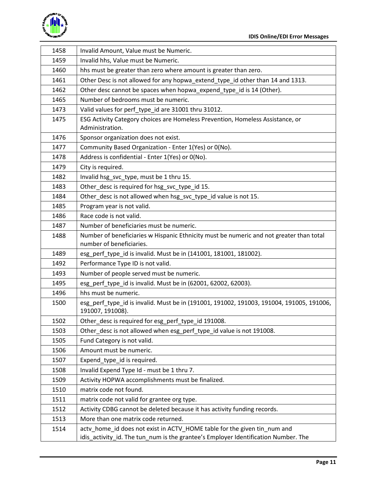

| 1458 | Invalid Amount, Value must be Numeric.                                                                                                                         |
|------|----------------------------------------------------------------------------------------------------------------------------------------------------------------|
| 1459 | Invalid hhs, Value must be Numeric.                                                                                                                            |
| 1460 | hhs must be greater than zero where amount is greater than zero.                                                                                               |
| 1461 | Other Desc is not allowed for any hopwa_extend_type_id other than 14 and 1313.                                                                                 |
| 1462 | Other desc cannot be spaces when hopwa_expend_type_id is 14 (Other).                                                                                           |
| 1465 | Number of bedrooms must be numeric.                                                                                                                            |
| 1473 | Valid values for perf_type_id are 31001 thru 31012.                                                                                                            |
| 1475 | ESG Activity Category choices are Homeless Prevention, Homeless Assistance, or<br>Administration.                                                              |
| 1476 | Sponsor organization does not exist.                                                                                                                           |
| 1477 | Community Based Organization - Enter 1(Yes) or 0(No).                                                                                                          |
| 1478 | Address is confidential - Enter 1(Yes) or 0(No).                                                                                                               |
| 1479 | City is required.                                                                                                                                              |
| 1482 | Invalid hsg_svc_type, must be 1 thru 15.                                                                                                                       |
| 1483 | Other_desc is required for hsg_svc_type_id 15.                                                                                                                 |
| 1484 | Other_desc is not allowed when hsg_svc_type_id value is not 15.                                                                                                |
| 1485 | Program year is not valid.                                                                                                                                     |
| 1486 | Race code is not valid.                                                                                                                                        |
| 1487 | Number of beneficiaries must be numeric.                                                                                                                       |
| 1488 | Number of beneficiaries w Hispanic Ethnicity must be numeric and not greater than total<br>number of beneficiaries.                                            |
| 1489 | esg_perf_type_id is invalid. Must be in (141001, 181001, 181002).                                                                                              |
| 1492 | Performance Type ID is not valid.                                                                                                                              |
| 1493 | Number of people served must be numeric.                                                                                                                       |
| 1495 | esg_perf_type_id is invalid. Must be in (62001, 62002, 62003).                                                                                                 |
| 1496 | hhs must be numeric.                                                                                                                                           |
| 1500 | esg perf type id is invalid. Must be in (191001, 191002, 191003, 191004, 191005, 191006,<br>191007, 191008).                                                   |
| 1502 | Other_desc is required for esg_perf_type_id 191008.                                                                                                            |
| 1503 | Other desc is not allowed when esg perf type id value is not 191008.                                                                                           |
| 1505 | Fund Category is not valid.                                                                                                                                    |
| 1506 | Amount must be numeric.                                                                                                                                        |
| 1507 | Expend_type_id is required.                                                                                                                                    |
| 1508 | Invalid Expend Type Id - must be 1 thru 7.                                                                                                                     |
| 1509 | Activity HOPWA accomplishments must be finalized.                                                                                                              |
| 1510 | matrix code not found.                                                                                                                                         |
| 1511 | matrix code not valid for grantee org type.                                                                                                                    |
| 1512 | Activity CDBG cannot be deleted because it has activity funding records.                                                                                       |
| 1513 | More than one matrix code returned.                                                                                                                            |
| 1514 | actv_home_id does not exist in ACTV_HOME table for the given tin_num and<br>idis_activity_id. The tun_num is the grantee's Employer Identification Number. The |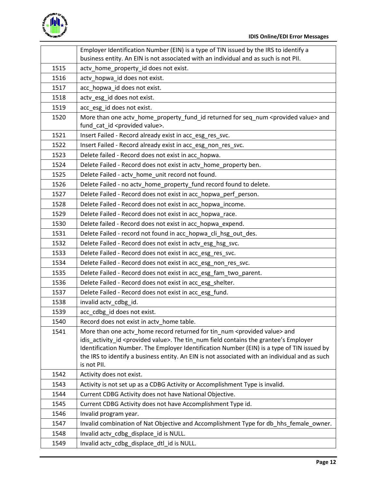

|      | Employer Identification Number (EIN) is a type of TIN issued by the IRS to identify a<br>business entity. An EIN is not associated with an individual and as such is not PII.                                                                                                                                                                                                                                   |
|------|-----------------------------------------------------------------------------------------------------------------------------------------------------------------------------------------------------------------------------------------------------------------------------------------------------------------------------------------------------------------------------------------------------------------|
| 1515 | actv_home_property_id does not exist.                                                                                                                                                                                                                                                                                                                                                                           |
| 1516 | actv_hopwa_id does not exist.                                                                                                                                                                                                                                                                                                                                                                                   |
| 1517 | acc hopwa id does not exist.                                                                                                                                                                                                                                                                                                                                                                                    |
| 1518 | actv_esg_id does not exist.                                                                                                                                                                                                                                                                                                                                                                                     |
| 1519 | acc_esg_id does not exist.                                                                                                                                                                                                                                                                                                                                                                                      |
| 1520 | More than one actv_home_property_fund_id returned for seq_num <provided value=""> and<br/>fund_cat_id <provided value="">.</provided></provided>                                                                                                                                                                                                                                                                |
| 1521 | Insert Failed - Record already exist in acc_esg_res_svc.                                                                                                                                                                                                                                                                                                                                                        |
| 1522 | Insert Failed - Record already exist in acc_esg_non_res_svc.                                                                                                                                                                                                                                                                                                                                                    |
| 1523 | Delete failed - Record does not exist in acc_hopwa.                                                                                                                                                                                                                                                                                                                                                             |
| 1524 | Delete Failed - Record does not exist in acty_home_property ben.                                                                                                                                                                                                                                                                                                                                                |
| 1525 | Delete Failed - actv_home_unit record not found.                                                                                                                                                                                                                                                                                                                                                                |
| 1526 | Delete Failed - no acty_home_property_fund record found to delete.                                                                                                                                                                                                                                                                                                                                              |
| 1527 | Delete Failed - Record does not exist in acc hopwa perf person.                                                                                                                                                                                                                                                                                                                                                 |
| 1528 | Delete Failed - Record does not exist in acc hopwa income.                                                                                                                                                                                                                                                                                                                                                      |
| 1529 | Delete Failed - Record does not exist in acc_hopwa_race.                                                                                                                                                                                                                                                                                                                                                        |
| 1530 | Delete failed - Record does not exist in acc_hopwa_expend.                                                                                                                                                                                                                                                                                                                                                      |
| 1531 | Delete Failed - record not found in acc_hopwa_cli_hsg_out_des.                                                                                                                                                                                                                                                                                                                                                  |
| 1532 | Delete Failed - Record does not exist in acty_esg_hsg_svc.                                                                                                                                                                                                                                                                                                                                                      |
| 1533 | Delete Failed - Record does not exist in acc_esg_res_svc.                                                                                                                                                                                                                                                                                                                                                       |
| 1534 | Delete Failed - Record does not exist in acc_esg_non_res_svc.                                                                                                                                                                                                                                                                                                                                                   |
| 1535 | Delete Failed - Record does not exist in acc_esg_fam_two_parent.                                                                                                                                                                                                                                                                                                                                                |
| 1536 | Delete Failed - Record does not exist in acc_esg_shelter.                                                                                                                                                                                                                                                                                                                                                       |
| 1537 | Delete Failed - Record does not exist in acc_esg_fund.                                                                                                                                                                                                                                                                                                                                                          |
| 1538 | invalid actv_cdbg_id.                                                                                                                                                                                                                                                                                                                                                                                           |
| 1539 | acc_cdbg_id does not exist.                                                                                                                                                                                                                                                                                                                                                                                     |
| 1540 | Record does not exist in acty home table.                                                                                                                                                                                                                                                                                                                                                                       |
| 1541 | More than one actv_home record returned for tin_num <provided value=""> and<br/>idis activity id <provided value="">. The tin num field contains the grantee's Employer<br/>Identification Number. The Employer Identification Number (EIN) is a type of TIN issued by<br/>the IRS to identify a business entity. An EIN is not associated with an individual and as such<br/>is not PII.</provided></provided> |
| 1542 | Activity does not exist.                                                                                                                                                                                                                                                                                                                                                                                        |
| 1543 | Activity is not set up as a CDBG Activity or Accomplishment Type is invalid.                                                                                                                                                                                                                                                                                                                                    |
| 1544 | Current CDBG Activity does not have National Objective.                                                                                                                                                                                                                                                                                                                                                         |
| 1545 | Current CDBG Activity does not have Accomplishment Type id.                                                                                                                                                                                                                                                                                                                                                     |
| 1546 | Invalid program year.                                                                                                                                                                                                                                                                                                                                                                                           |
| 1547 | Invalid combination of Nat Objective and Accomplishment Type for db_hhs_female_owner.                                                                                                                                                                                                                                                                                                                           |
| 1548 | Invalid actv_cdbg_displace_id is NULL.                                                                                                                                                                                                                                                                                                                                                                          |
| 1549 | Invalid actv_cdbg_displace_dtl_id is NULL.                                                                                                                                                                                                                                                                                                                                                                      |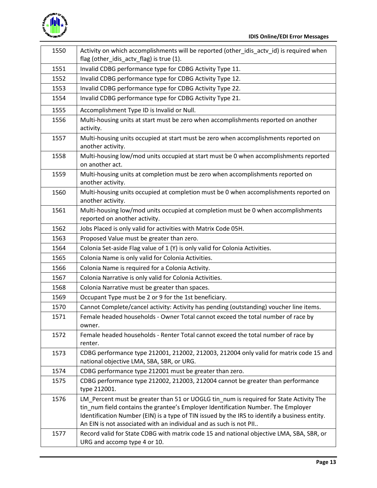

| 1550 | Activity on which accomplishments will be reported (other_idis_actv_id) is required when<br>flag (other_idis_actv_flag) is true (1).                                                                                                                                                                                                               |
|------|----------------------------------------------------------------------------------------------------------------------------------------------------------------------------------------------------------------------------------------------------------------------------------------------------------------------------------------------------|
| 1551 | Invalid CDBG performance type for CDBG Activity Type 11.                                                                                                                                                                                                                                                                                           |
| 1552 | Invalid CDBG performance type for CDBG Activity Type 12.                                                                                                                                                                                                                                                                                           |
| 1553 | Invalid CDBG performance type for CDBG Activity Type 22.                                                                                                                                                                                                                                                                                           |
| 1554 | Invalid CDBG performance type for CDBG Activity Type 21.                                                                                                                                                                                                                                                                                           |
| 1555 | Accomplishment Type ID is Invalid or Null.                                                                                                                                                                                                                                                                                                         |
| 1556 | Multi-housing units at start must be zero when accomplishments reported on another<br>activity.                                                                                                                                                                                                                                                    |
| 1557 | Multi-housing units occupied at start must be zero when accomplishments reported on<br>another activity.                                                                                                                                                                                                                                           |
| 1558 | Multi-housing low/mod units occupied at start must be 0 when accomplishments reported<br>on another act.                                                                                                                                                                                                                                           |
| 1559 | Multi-housing units at completion must be zero when accomplishments reported on<br>another activity.                                                                                                                                                                                                                                               |
| 1560 | Multi-housing units occupied at completion must be 0 when accomplishments reported on<br>another activity.                                                                                                                                                                                                                                         |
| 1561 | Multi-housing low/mod units occupied at completion must be 0 when accomplishments<br>reported on another activity.                                                                                                                                                                                                                                 |
| 1562 | Jobs Placed is only valid for activities with Matrix Code 05H.                                                                                                                                                                                                                                                                                     |
| 1563 | Proposed Value must be greater than zero.                                                                                                                                                                                                                                                                                                          |
| 1564 | Colonia Set-aside Flag value of 1 (Y) is only valid for Colonia Activities.                                                                                                                                                                                                                                                                        |
| 1565 | Colonia Name is only valid for Colonia Activities.                                                                                                                                                                                                                                                                                                 |
| 1566 | Colonia Name is required for a Colonia Activity.                                                                                                                                                                                                                                                                                                   |
| 1567 | Colonia Narrative is only valid for Colonia Activities.                                                                                                                                                                                                                                                                                            |
| 1568 | Colonia Narrative must be greater than spaces.                                                                                                                                                                                                                                                                                                     |
| 1569 | Occupant Type must be 2 or 9 for the 1st beneficiary.                                                                                                                                                                                                                                                                                              |
| 1570 | Cannot Complete/cancel activity: Activity has pending (outstanding) voucher line items.                                                                                                                                                                                                                                                            |
| 1571 | Female headed households - Owner Total cannot exceed the total number of race by<br>owner.                                                                                                                                                                                                                                                         |
| 1572 | Female headed households - Renter Total cannot exceed the total number of race by<br>renter.                                                                                                                                                                                                                                                       |
| 1573 | CDBG performance type 212001, 212002, 212003, 212004 only valid for matrix code 15 and<br>national objective LMA, SBA, SBR, or URG.                                                                                                                                                                                                                |
| 1574 | CDBG performance type 212001 must be greater than zero.                                                                                                                                                                                                                                                                                            |
| 1575 | CDBG performance type 212002, 212003, 212004 cannot be greater than performance<br>type 212001.                                                                                                                                                                                                                                                    |
| 1576 | LM_Percent must be greater than 51 or UOGLG tin_num is required for State Activity The<br>tin_num field contains the grantee's Employer Identification Number. The Employer<br>Identification Number (EIN) is a type of TIN issued by the IRS to identify a business entity.<br>An EIN is not associated with an individual and as such is not PII |
| 1577 | Record valid for State CDBG with matrix code 15 and national objective LMA, SBA, SBR, or<br>URG and accomp type 4 or 10.                                                                                                                                                                                                                           |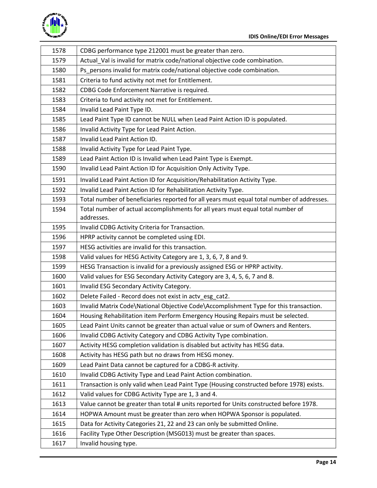

| 1578 | CDBG performance type 212001 must be greater than zero.                                    |
|------|--------------------------------------------------------------------------------------------|
| 1579 | Actual_Val is invalid for matrix code/national objective code combination.                 |
| 1580 | Ps_persons invalid for matrix code/national objective code combination.                    |
| 1581 | Criteria to fund activity not met for Entitlement.                                         |
| 1582 | CDBG Code Enforcement Narrative is required.                                               |
| 1583 | Criteria to fund activity not met for Entitlement.                                         |
| 1584 | Invalid Lead Paint Type ID.                                                                |
| 1585 | Lead Paint Type ID cannot be NULL when Lead Paint Action ID is populated.                  |
| 1586 | Invalid Activity Type for Lead Paint Action.                                               |
| 1587 | Invalid Lead Paint Action ID.                                                              |
| 1588 | Invalid Activity Type for Lead Paint Type.                                                 |
| 1589 | Lead Paint Action ID is Invalid when Lead Paint Type is Exempt.                            |
| 1590 | Invalid Lead Paint Action ID for Acquisition Only Activity Type.                           |
| 1591 | Invalid Lead Paint Action ID for Acquisition/Rehabilitation Activity Type.                 |
| 1592 | Invalid Lead Paint Action ID for Rehabilitation Activity Type.                             |
| 1593 | Total number of beneficiaries reported for all years must equal total number of addresses. |
| 1594 | Total number of actual accomplishments for all years must equal total number of            |
|      | addresses.                                                                                 |
| 1595 | Invalid CDBG Activity Criteria for Transaction.                                            |
| 1596 | HPRP activity cannot be completed using EDI.                                               |
| 1597 | HESG activities are invalid for this transaction.                                          |
| 1598 | Valid values for HESG Activity Category are 1, 3, 6, 7, 8 and 9.                           |
| 1599 | HESG Transaction is invalid for a previously assigned ESG or HPRP activity.                |
| 1600 | Valid values for ESG Secondary Activity Category are 3, 4, 5, 6, 7 and 8.                  |
| 1601 | Invalid ESG Secondary Activity Category.                                                   |
| 1602 | Delete Failed - Record does not exist in actv_esg_cat2.                                    |
| 1603 | Invalid Matrix Code\National Objective Code\Accomplishment Type for this transaction.      |
| 1604 | Housing Rehabilitation item Perform Emergency Housing Repairs must be selected.            |
| 1605 | Lead Paint Units cannot be greater than actual value or sum of Owners and Renters.         |
| 1606 | Invalid CDBG Activity Category and CDBG Activity Type combination.                         |
| 1607 | Activity HESG completion validation is disabled but activity has HESG data.                |
| 1608 | Activity has HESG path but no draws from HESG money.                                       |
| 1609 | Lead Paint Data cannot be captured for a CDBG-R activity.                                  |
| 1610 | Invalid CDBG Activity Type and Lead Paint Action combination.                              |
| 1611 | Transaction is only valid when Lead Paint Type (Housing constructed before 1978) exists.   |
| 1612 | Valid values for CDBG Activity Type are 1, 3 and 4.                                        |
| 1613 | Value cannot be greater than total # units reported for Units constructed before 1978.     |
| 1614 | HOPWA Amount must be greater than zero when HOPWA Sponsor is populated.                    |
| 1615 | Data for Activity Categories 21, 22 and 23 can only be submitted Online.                   |
| 1616 | Facility Type Other Description (MSG013) must be greater than spaces.                      |
| 1617 | Invalid housing type.                                                                      |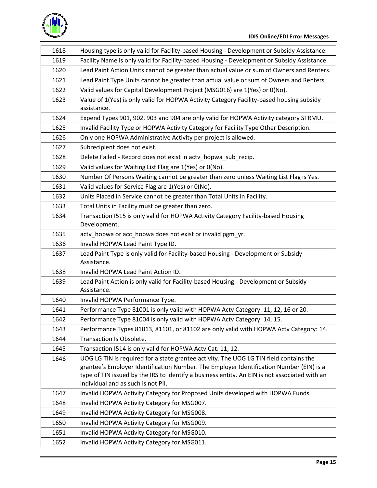

| 1618 | Housing type is only valid for Facility-based Housing - Development or Subsidy Assistance.                                                                                                                                                                                                                               |
|------|--------------------------------------------------------------------------------------------------------------------------------------------------------------------------------------------------------------------------------------------------------------------------------------------------------------------------|
| 1619 | Facility Name is only valid for Facility-based Housing - Development or Subsidy Assistance.                                                                                                                                                                                                                              |
| 1620 | Lead Paint Action Units cannot be greater than actual value or sum of Owners and Renters.                                                                                                                                                                                                                                |
| 1621 | Lead Paint Type Units cannot be greater than actual value or sum of Owners and Renters.                                                                                                                                                                                                                                  |
| 1622 | Valid values for Capital Development Project (MSG016) are 1(Yes) or 0(No).                                                                                                                                                                                                                                               |
| 1623 | Value of 1(Yes) is only valid for HOPWA Activity Category Facility-based housing subsidy<br>assistance.                                                                                                                                                                                                                  |
| 1624 | Expend Types 901, 902, 903 and 904 are only valid for HOPWA Activity category STRMU.                                                                                                                                                                                                                                     |
| 1625 | Invalid Facility Type or HOPWA Activity Category for Facility Type Other Description.                                                                                                                                                                                                                                    |
| 1626 | Only one HOPWA Administrative Activity per project is allowed.                                                                                                                                                                                                                                                           |
| 1627 | Subrecipient does not exist.                                                                                                                                                                                                                                                                                             |
| 1628 | Delete Failed - Record does not exist in actv_hopwa_sub_recip.                                                                                                                                                                                                                                                           |
| 1629 | Valid values for Waiting List Flag are 1(Yes) or 0(No).                                                                                                                                                                                                                                                                  |
| 1630 | Number Of Persons Waiting cannot be greater than zero unless Waiting List Flag is Yes.                                                                                                                                                                                                                                   |
| 1631 | Valid values for Service Flag are 1(Yes) or 0(No).                                                                                                                                                                                                                                                                       |
| 1632 | Units Placed in Service cannot be greater than Total Units in Facility.                                                                                                                                                                                                                                                  |
| 1633 | Total Units in Facility must be greater than zero.                                                                                                                                                                                                                                                                       |
| 1634 | Transaction I515 is only valid for HOPWA Activity Category Facility-based Housing<br>Development.                                                                                                                                                                                                                        |
| 1635 | actv_hopwa or acc_hopwa does not exist or invalid pgm_yr.                                                                                                                                                                                                                                                                |
| 1636 | Invalid HOPWA Lead Paint Type ID.                                                                                                                                                                                                                                                                                        |
| 1637 | Lead Paint Type is only valid for Facility-based Housing - Development or Subsidy<br>Assistance.                                                                                                                                                                                                                         |
| 1638 | Invalid HOPWA Lead Paint Action ID.                                                                                                                                                                                                                                                                                      |
| 1639 | Lead Paint Action is only valid for Facility-based Housing - Development or Subsidy<br>Assistance.                                                                                                                                                                                                                       |
| 1640 | Invalid HOPWA Performance Type.                                                                                                                                                                                                                                                                                          |
| 1641 | Performance Type 81001 is only valid with HOPWA Actv Category: 11, 12, 16 or 20.                                                                                                                                                                                                                                         |
| 1642 | Performance Type 81004 is only valid with HOPWA Actv Category: 14, 15.                                                                                                                                                                                                                                                   |
| 1643 | Performance Types 81013, 81101, or 81102 are only valid with HOPWA Actv Category: 14.                                                                                                                                                                                                                                    |
| 1644 | Transaction Is Obsolete.                                                                                                                                                                                                                                                                                                 |
| 1645 | Transaction I514 is only valid for HOPWA Actv Cat: 11, 12.                                                                                                                                                                                                                                                               |
| 1646 | UOG LG TIN is required for a state grantee activity. The UOG LG TIN field contains the<br>grantee's Employer Identification Number. The Employer Identification Number (EIN) is a<br>type of TIN issued by the IRS to identify a business entity. An EIN is not associated with an<br>individual and as such is not PII. |
| 1647 | Invalid HOPWA Activity Category for Proposed Units developed with HOPWA Funds.                                                                                                                                                                                                                                           |
| 1648 | Invalid HOPWA Activity Category for MSG007.                                                                                                                                                                                                                                                                              |
| 1649 | Invalid HOPWA Activity Category for MSG008.                                                                                                                                                                                                                                                                              |
| 1650 | Invalid HOPWA Activity Category for MSG009.                                                                                                                                                                                                                                                                              |
| 1651 | Invalid HOPWA Activity Category for MSG010.                                                                                                                                                                                                                                                                              |
| 1652 | Invalid HOPWA Activity Category for MSG011.                                                                                                                                                                                                                                                                              |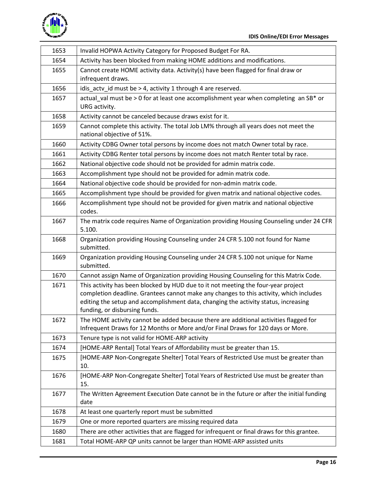

| 1653 | Invalid HOPWA Activity Category for Proposed Budget For RA.                                                                                                                                                                                                                                         |
|------|-----------------------------------------------------------------------------------------------------------------------------------------------------------------------------------------------------------------------------------------------------------------------------------------------------|
| 1654 | Activity has been blocked from making HOME additions and modifications.                                                                                                                                                                                                                             |
| 1655 | Cannot create HOME activity data. Activity(s) have been flagged for final draw or<br>infrequent draws.                                                                                                                                                                                              |
| 1656 | idis_actv_id must be > 4, activity 1 through 4 are reserved.                                                                                                                                                                                                                                        |
| 1657 | actual_val must be > 0 for at least one accomplishment year when completing an SB* or<br>URG activity.                                                                                                                                                                                              |
| 1658 | Activity cannot be canceled because draws exist for it.                                                                                                                                                                                                                                             |
| 1659 | Cannot complete this activity. The total Job LM% through all years does not meet the<br>national objective of 51%.                                                                                                                                                                                  |
| 1660 | Activity CDBG Owner total persons by income does not match Owner total by race.                                                                                                                                                                                                                     |
| 1661 | Activity CDBG Renter total persons by income does not match Renter total by race.                                                                                                                                                                                                                   |
| 1662 | National objective code should not be provided for admin matrix code.                                                                                                                                                                                                                               |
| 1663 | Accomplishment type should not be provided for admin matrix code.                                                                                                                                                                                                                                   |
| 1664 | National objective code should be provided for non-admin matrix code.                                                                                                                                                                                                                               |
| 1665 | Accomplishment type should be provided for given matrix and national objective codes.                                                                                                                                                                                                               |
| 1666 | Accomplishment type should not be provided for given matrix and national objective<br>codes.                                                                                                                                                                                                        |
| 1667 | The matrix code requires Name of Organization providing Housing Counseling under 24 CFR<br>5.100.                                                                                                                                                                                                   |
| 1668 | Organization providing Housing Counseling under 24 CFR 5.100 not found for Name<br>submitted.                                                                                                                                                                                                       |
| 1669 | Organization providing Housing Counseling under 24 CFR 5.100 not unique for Name<br>submitted.                                                                                                                                                                                                      |
| 1670 | Cannot assign Name of Organization providing Housing Counseling for this Matrix Code.                                                                                                                                                                                                               |
| 1671 | This activity has been blocked by HUD due to it not meeting the four-year project<br>completion deadline. Grantees cannot make any changes to this activity, which includes<br>editing the setup and accomplishment data, changing the activity status, increasing<br>funding, or disbursing funds. |
| 1672 | The HOME activity cannot be added because there are additional activities flagged for<br>Infrequent Draws for 12 Months or More and/or Final Draws for 120 days or More.                                                                                                                            |
| 1673 | Tenure type is not valid for HOME-ARP activity                                                                                                                                                                                                                                                      |
| 1674 | [HOME-ARP Rental] Total Years of Affordability must be greater than 15.                                                                                                                                                                                                                             |
| 1675 | [HOME-ARP Non-Congregate Shelter] Total Years of Restricted Use must be greater than<br>10.                                                                                                                                                                                                         |
| 1676 | [HOME-ARP Non-Congregate Shelter] Total Years of Restricted Use must be greater than<br>15.                                                                                                                                                                                                         |
| 1677 | The Written Agreement Execution Date cannot be in the future or after the initial funding<br>date                                                                                                                                                                                                   |
| 1678 | At least one quarterly report must be submitted                                                                                                                                                                                                                                                     |
| 1679 | One or more reported quarters are missing required data                                                                                                                                                                                                                                             |
| 1680 | There are other activities that are flagged for infrequent or final draws for this grantee.                                                                                                                                                                                                         |
| 1681 | Total HOME-ARP QP units cannot be larger than HOME-ARP assisted units                                                                                                                                                                                                                               |